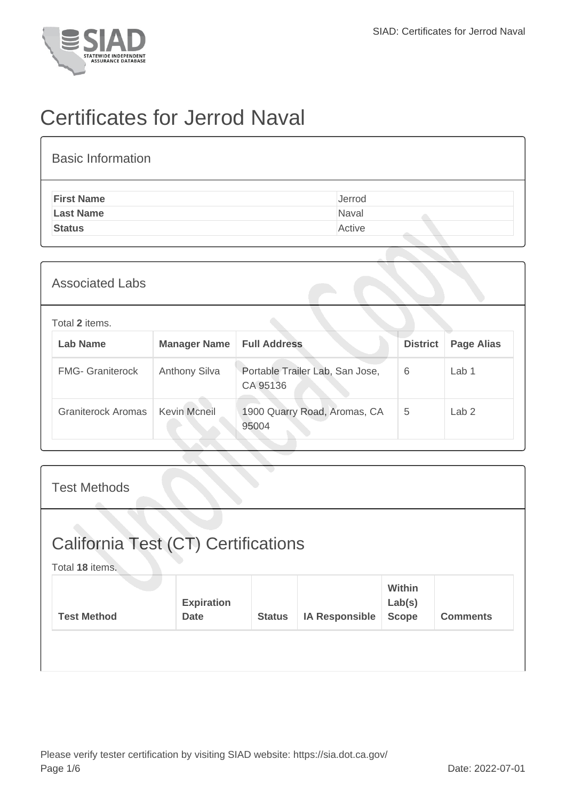

## Certificates for Jerrod Naval

| <b>Basic Information</b> |        |
|--------------------------|--------|
| <b>First Name</b>        | Jerrod |
| <b>Last Name</b>         | Naval  |
| <b>Status</b>            | Active |
|                          |        |

| <b>Associated Labs</b>  |                      |                                             |                 |                   |
|-------------------------|----------------------|---------------------------------------------|-----------------|-------------------|
| Total 2 items.          |                      |                                             |                 |                   |
| <b>Lab Name</b>         | <b>Manager Name</b>  | <b>Full Address</b>                         | <b>District</b> | <b>Page Alias</b> |
| <b>FMG- Graniterock</b> | <b>Anthony Silva</b> | Portable Trailer Lab, San Jose,<br>CA 95136 | 6               | Lab <sub>1</sub>  |
| Graniterock Aromas      | <b>Kevin Mcneil</b>  | 1900 Quarry Road, Aromas, CA<br>95004       | 5               | Lab <sub>2</sub>  |
|                         |                      |                                             |                 |                   |

| <b>Test Methods</b>                                    |                                  |               |                       |                                         |                 |
|--------------------------------------------------------|----------------------------------|---------------|-----------------------|-----------------------------------------|-----------------|
| California Test (CT) Certifications<br>Total 18 items. |                                  |               |                       |                                         |                 |
| <b>Test Method</b>                                     | <b>Expiration</b><br><b>Date</b> | <b>Status</b> | <b>IA Responsible</b> | <b>Within</b><br>Lab(s)<br><b>Scope</b> | <b>Comments</b> |
|                                                        |                                  |               |                       |                                         |                 |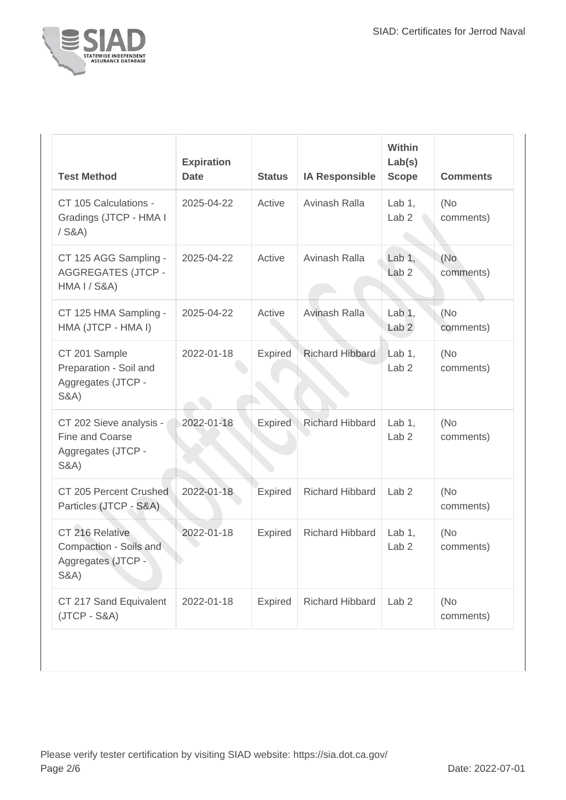

| <b>Test Method</b>                                                                  | <b>Expiration</b><br><b>Date</b> | <b>Status</b>  | <b>IA Responsible</b>  | Within<br>Lab(s)<br><b>Scope</b> | <b>Comments</b>   |
|-------------------------------------------------------------------------------------|----------------------------------|----------------|------------------------|----------------------------------|-------------------|
| CT 105 Calculations -<br>Gradings (JTCP - HMA I<br>$/$ S&A)                         | 2025-04-22                       | Active         | Avinash Ralla          | Lab $1,$<br>Lab <sub>2</sub>     | (No)<br>comments) |
| CT 125 AGG Sampling -<br><b>AGGREGATES (JTCP -</b><br><b>HMA I / S&amp;A)</b>       | 2025-04-22                       | Active         | Avinash Ralla          | Lab $1,$<br>Lab <sub>2</sub>     | (No<br>comments)  |
| CT 125 HMA Sampling -<br>HMA (JTCP - HMA I)                                         | 2025-04-22                       | Active         | Avinash Ralla          | Lab $1,$<br>Lab <sub>2</sub>     | (No<br>comments)  |
| CT 201 Sample<br>Preparation - Soil and<br>Aggregates (JTCP -<br><b>S&amp;A)</b>    | 2022-01-18                       | Expired        | <b>Richard Hibbard</b> | Lab $1$ ,<br>Lab <sub>2</sub>    | (No)<br>comments) |
| CT 202 Sieve analysis -<br>Fine and Coarse<br>Aggregates (JTCP -<br><b>S&amp;A)</b> | 2022-01-18                       | <b>Expired</b> | <b>Richard Hibbard</b> | Lab $1$ ,<br>Lab <sub>2</sub>    | (No)<br>comments) |
| CT 205 Percent Crushed<br>Particles (JTCP - S&A)                                    | 2022-01-18                       | <b>Expired</b> | <b>Richard Hibbard</b> | Lab <sub>2</sub>                 | (No<br>comments)  |
| CT 216 Relative<br>Compaction - Soils and<br>Aggregates (JTCP -<br><b>S&amp;A)</b>  | 2022-01-18                       | Expired        | <b>Richard Hibbard</b> | Lab $1,$<br>Lab <sub>2</sub>     | (No<br>comments)  |
| CT 217 Sand Equivalent<br>$(JTCP - S&A)$                                            | 2022-01-18                       | <b>Expired</b> | <b>Richard Hibbard</b> | Lab <sub>2</sub>                 | (No)<br>comments) |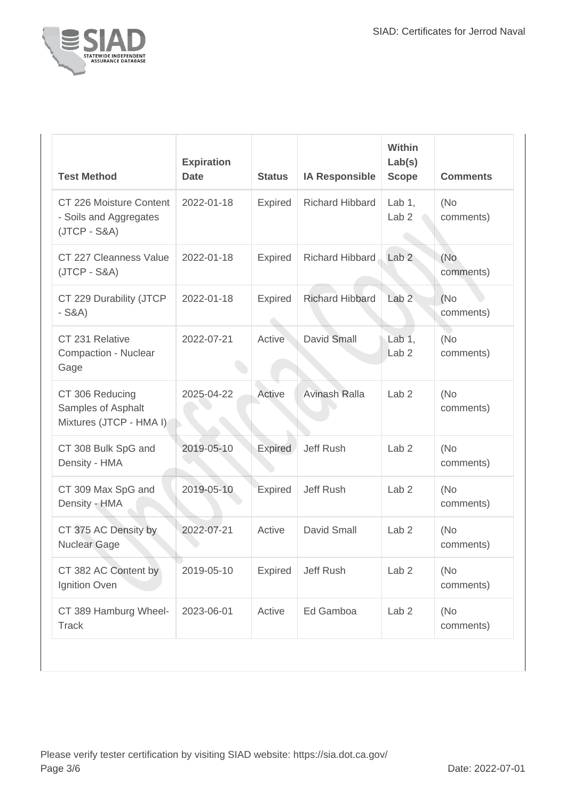

| <b>Test Method</b>                                                  | <b>Expiration</b><br><b>Date</b> | <b>Status</b>  | <b>IA Responsible</b>  | Within<br>Lab(s)<br><b>Scope</b>       | <b>Comments</b>   |
|---------------------------------------------------------------------|----------------------------------|----------------|------------------------|----------------------------------------|-------------------|
| CT 226 Moisture Content<br>- Soils and Aggregates<br>$(JTCP - S&A)$ | 2022-01-18                       | <b>Expired</b> | <b>Richard Hibbard</b> | Lab $1$ ,<br>Lab <sub>2</sub>          | (No)<br>comments) |
| CT 227 Cleanness Value<br>$(JTCP - S&A)$                            | 2022-01-18                       | <b>Expired</b> | Richard Hibbard        | Lab <sub>2</sub>                       | (No<br>comments)  |
| CT 229 Durability (JTCP<br>$-S&A)$                                  | 2022-01-18                       | <b>Expired</b> | <b>Richard Hibbard</b> | Lab <sub>2</sub>                       | (No)<br>comments) |
| CT 231 Relative<br>Compaction - Nuclear<br>Gage                     | 2022-07-21                       | Active         | <b>David Small</b>     | Lab <sub>1</sub> ,<br>Lab <sub>2</sub> | (No<br>comments)  |
| CT 306 Reducing<br>Samples of Asphalt<br>Mixtures (JTCP - HMA I)    | 2025-04-22                       | Active         | Avinash Ralla          | Lab <sub>2</sub>                       | (No)<br>comments) |
| CT 308 Bulk SpG and<br>Density - HMA                                | 2019-05-10                       | Expired        | Jeff Rush              | Lab <sub>2</sub>                       | (No)<br>comments) |
| CT 309 Max SpG and<br>Density - HMA                                 | 2019-05-10                       | <b>Expired</b> | Jeff Rush              | Lab <sub>2</sub>                       | (No<br>comments)  |
| CT 375 AC Density by<br><b>Nuclear Gage</b>                         | 2022-07-21                       | Active         | David Small            | Lab <sub>2</sub>                       | (No<br>comments)  |
| CT 382 AC Content by<br>Ignition Oven                               | 2019-05-10                       | <b>Expired</b> | Jeff Rush              | Lab <sub>2</sub>                       | (No<br>comments)  |
| CT 389 Hamburg Wheel-<br><b>Track</b>                               | 2023-06-01                       | Active         | Ed Gamboa              | Lab <sub>2</sub>                       | (No)<br>comments) |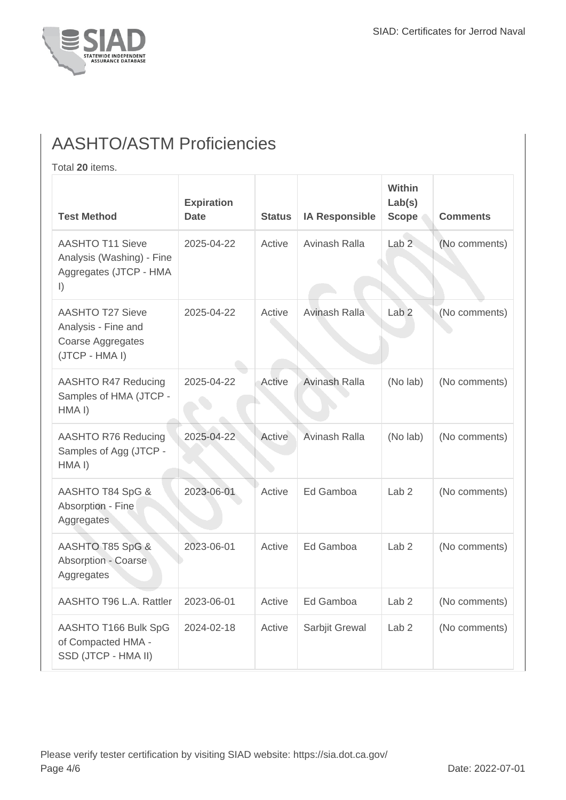

## AASHTO/ASTM Proficiencies

Total **20** items.

| <b>Test Method</b>                                                                           | <b>Expiration</b><br><b>Date</b> | <b>Status</b> | <b>IA Responsible</b> | Within<br>Lab(s)<br><b>Scope</b> | <b>Comments</b> |
|----------------------------------------------------------------------------------------------|----------------------------------|---------------|-----------------------|----------------------------------|-----------------|
| <b>AASHTO T11 Sieve</b><br>Analysis (Washing) - Fine<br>Aggregates (JTCP - HMA<br>$\vert$ )  | 2025-04-22                       | Active        | Avinash Ralla         | Lab <sub>2</sub>                 | (No comments)   |
| <b>AASHTO T27 Sieve</b><br>Analysis - Fine and<br><b>Coarse Aggregates</b><br>(JTCP - HMA I) | 2025-04-22                       | Active        | Avinash Ralla         | Lab <sub>2</sub>                 | (No comments)   |
| <b>AASHTO R47 Reducing</b><br>Samples of HMA (JTCP -<br>HMA <sub>I</sub> )                   | 2025-04-22                       | Active        | Avinash Ralla         | (No lab)                         | (No comments)   |
| AASHTO R76 Reducing<br>Samples of Agg (JTCP -<br>HMA <sub>I</sub> )                          | 2025-04-22                       | Active        | Avinash Ralla         | (No lab)                         | (No comments)   |
| AASHTO T84 SpG &<br>Absorption - Fine<br>Aggregates                                          | 2023-06-01                       | Active        | Ed Gamboa             | Lab <sub>2</sub>                 | (No comments)   |
| AASHTO T85 SpG &<br><b>Absorption - Coarse</b><br>Aggregates                                 | 2023-06-01                       | Active        | Ed Gamboa             | Lab <sub>2</sub>                 | (No comments)   |
| AASHTO T96 L.A. Rattler                                                                      | 2023-06-01                       | Active        | Ed Gamboa             | Lab <sub>2</sub>                 | (No comments)   |
| AASHTO T166 Bulk SpG<br>of Compacted HMA -<br>SSD (JTCP - HMA II)                            | 2024-02-18                       | Active        | Sarbjit Grewal        | Lab <sub>2</sub>                 | (No comments)   |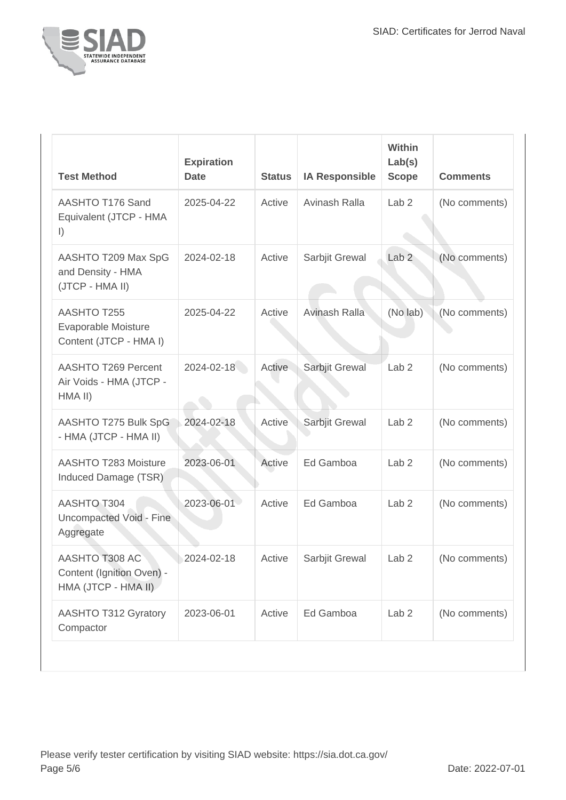

| <b>Test Method</b>                                                 | <b>Expiration</b><br><b>Date</b> | <b>Status</b> | <b>IA Responsible</b> | Within<br>Lab(s)<br><b>Scope</b> | <b>Comments</b> |
|--------------------------------------------------------------------|----------------------------------|---------------|-----------------------|----------------------------------|-----------------|
| AASHTO T176 Sand<br>Equivalent (JTCP - HMA<br>$\vert$              | 2025-04-22                       | Active        | Avinash Ralla         | Lab <sub>2</sub>                 | (No comments)   |
| AASHTO T209 Max SpG<br>and Density - HMA<br>(JTCP - HMA II)        | 2024-02-18                       | Active        | Sarbjit Grewal        | Lab <sub>2</sub>                 | (No comments)   |
| AASHTO T255<br>Evaporable Moisture<br>Content (JTCP - HMA I)       | 2025-04-22                       | Active        | Avinash Ralla         | (No lab)                         | (No comments)   |
| AASHTO T269 Percent<br>Air Voids - HMA (JTCP -<br>HMA II)          | 2024-02-18                       | Active        | Sarbjit Grewal        | Lab <sub>2</sub>                 | (No comments)   |
| AASHTO T275 Bulk SpG<br>- HMA (JTCP - HMA II)                      | 2024-02-18                       | Active        | Sarbjit Grewal        | Lab <sub>2</sub>                 | (No comments)   |
| <b>AASHTO T283 Moisture</b><br>Induced Damage (TSR)                | 2023-06-01                       | Active        | Ed Gamboa             | Lab <sub>2</sub>                 | (No comments)   |
| AASHTO T304<br>Uncompacted Void - Fine<br>Aggregate                | 2023-06-01                       | Active        | Ed Gamboa             | Lab <sub>2</sub>                 | (No comments)   |
| AASHTO T308 AC<br>Content (Ignition Oven) -<br>HMA (JTCP - HMA II) | 2024-02-18                       | Active        | Sarbjit Grewal        | Lab <sub>2</sub>                 | (No comments)   |
| <b>AASHTO T312 Gyratory</b><br>Compactor                           | 2023-06-01                       | Active        | Ed Gamboa             | Lab <sub>2</sub>                 | (No comments)   |